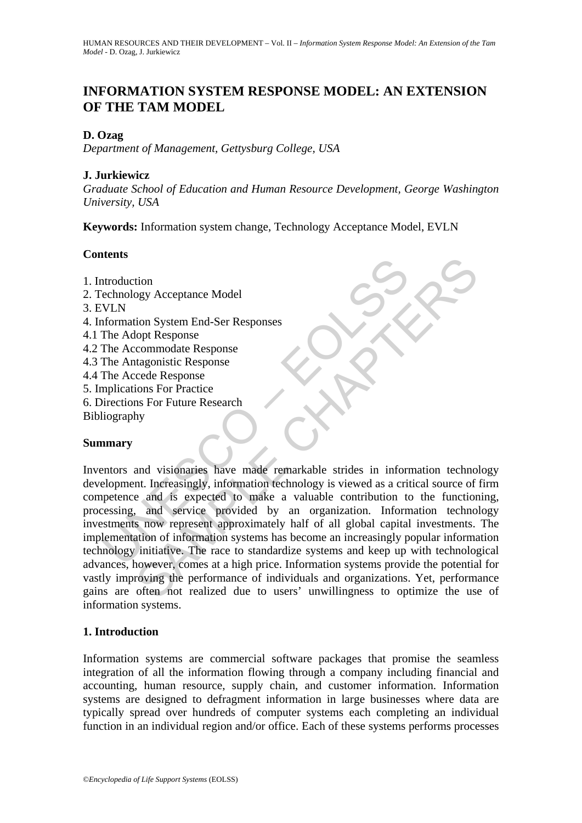## **INFORMATION SYSTEM RESPONSE MODEL: AN EXTENSION OF THE TAM MODEL**

## **D. Ozag**

*Department of Management, Gettysburg College, USA* 

### **J. Jurkiewicz**

*Graduate School of Education and Human Resource Development, George Washington University, USA* 

**Keywords:** Information system change, Technology Acceptance Model, EVLN

## **Contents**

- 1. Introduction
- 2. Technology Acceptance Model
- 3. EVLN
- 4. Information System End-Ser Responses
- 4.1 The Adopt Response
- 4.2 The Accommodate Response
- 4.3 The Antagonistic Response
- 4.4 The Accede Response
- 5. Implications For Practice
- 6. Directions For Future Research

Bibliography

#### **Summary**

The Model Compares and Server Compares and Server Comparent Comparent Comparent Comparent Comparent The Adopt Response<br>The Adopt Response<br>The Adopt Response<br>The Accorde Response<br>The Accorde Response<br>The Accorde Response<br>Th The method of the proposition of the state of the state of the state of the state of the state of the state of the state of the state of the state of the state of the state of the state of the state of the state of the sta Inventors and visionaries have made remarkable strides in information technology development. Increasingly, information technology is viewed as a critical source of firm competence and is expected to make a valuable contribution to the functioning, processing, and service provided by an organization. Information technology investments now represent approximately half of all global capital investments. The implementation of information systems has become an increasingly popular information technology initiative. The race to standardize systems and keep up with technological advances, however, comes at a high price. Information systems provide the potential for vastly improving the performance of individuals and organizations. Yet, performance gains are often not realized due to users' unwillingness to optimize the use of information systems.

#### **1. Introduction**

Information systems are commercial software packages that promise the seamless integration of all the information flowing through a company including financial and accounting, human resource, supply chain, and customer information. Information systems are designed to defragment information in large businesses where data are typically spread over hundreds of computer systems each completing an individual function in an individual region and/or office. Each of these systems performs processes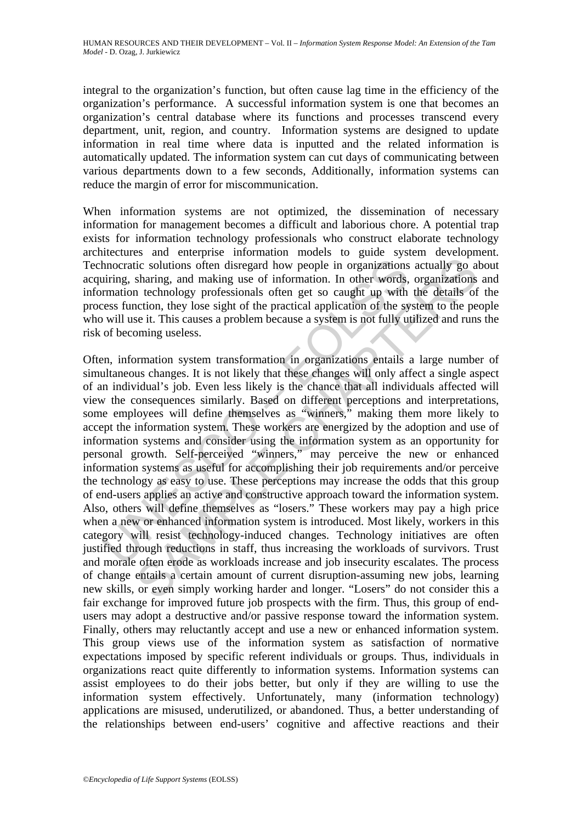integral to the organization's function, but often cause lag time in the efficiency of the organization's performance. A successful information system is one that becomes an organization's central database where its functions and processes transcend every department, unit, region, and country. Information systems are designed to update information in real time where data is inputted and the related information is automatically updated. The information system can cut days of communicating between various departments down to a few seconds, Additionally, information systems can reduce the margin of error for miscommunication.

When information systems are not optimized, the dissemination of necessary information for management becomes a difficult and laborious chore. A potential trap exists for information technology professionals who construct elaborate technology architectures and enterprise information models to guide system development. Technocratic solutions often disregard how people in organizations actually go about acquiring, sharing, and making use of information. In other words, organizations and information technology professionals often get so caught up with the details of the process function, they lose sight of the practical application of the system to the people who will use it. This causes a problem because a system is not fully utilized and runs the risk of becoming useless.

thronoutric solutions often disregard how people in organizations<br>iring, sharing, and making use of information. In other words,<br>mation technology professionals often get so caught up with<br>exes function, they lose sight of ic solutions often disregard how people in organizations actually go a<br>sharing, and making use of information. In other words, organizations<br>tection technology professionals often get so caught up with the details of<br>nectr Often, information system transformation in organizations entails a large number of simultaneous changes. It is not likely that these changes will only affect a single aspect of an individual's job. Even less likely is the chance that all individuals affected will view the consequences similarly. Based on different perceptions and interpretations, some employees will define themselves as "winners," making them more likely to accept the information system. These workers are energized by the adoption and use of information systems and consider using the information system as an opportunity for personal growth. Self-perceived "winners," may perceive the new or enhanced information systems as useful for accomplishing their job requirements and/or perceive the technology as easy to use. These perceptions may increase the odds that this group of end-users applies an active and constructive approach toward the information system. Also, others will define themselves as "losers." These workers may pay a high price when a new or enhanced information system is introduced. Most likely, workers in this category will resist technology-induced changes. Technology initiatives are often justified through reductions in staff, thus increasing the workloads of survivors. Trust and morale often erode as workloads increase and job insecurity escalates. The process of change entails a certain amount of current disruption-assuming new jobs, learning new skills, or even simply working harder and longer. "Losers" do not consider this a fair exchange for improved future job prospects with the firm. Thus, this group of endusers may adopt a destructive and/or passive response toward the information system. Finally, others may reluctantly accept and use a new or enhanced information system. This group views use of the information system as satisfaction of normative expectations imposed by specific referent individuals or groups. Thus, individuals in organizations react quite differently to information systems. Information systems can assist employees to do their jobs better, but only if they are willing to use the information system effectively. Unfortunately, many (information technology) applications are misused, underutilized, or abandoned. Thus, a better understanding of the relationships between end-users' cognitive and affective reactions and their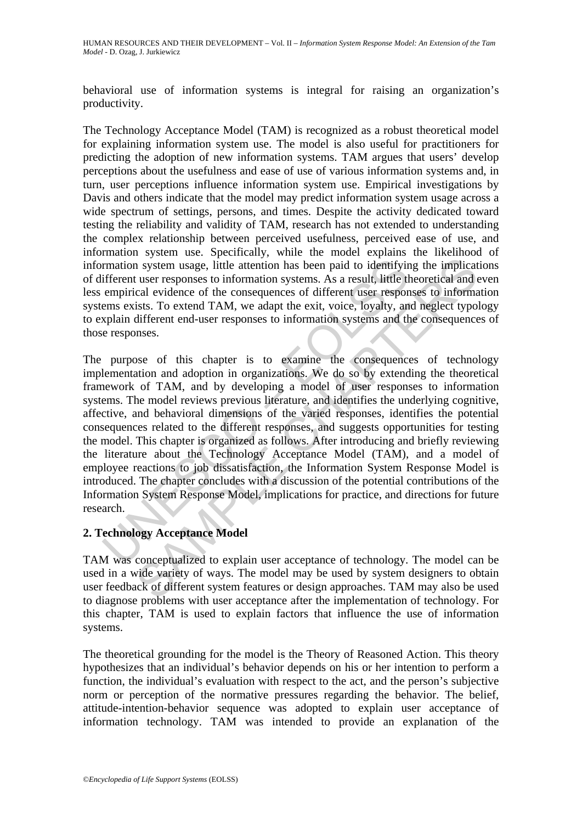behavioral use of information systems is integral for raising an organization's productivity.

The Technology Acceptance Model (TAM) is recognized as a robust theoretical model for explaining information system use. The model is also useful for practitioners for predicting the adoption of new information systems. TAM argues that users' develop perceptions about the usefulness and ease of use of various information systems and, in turn, user perceptions influence information system use. Empirical investigations by Davis and others indicate that the model may predict information system usage across a wide spectrum of settings, persons, and times. Despite the activity dedicated toward testing the reliability and validity of TAM, research has not extended to understanding the complex relationship between perceived usefulness, perceived ease of use, and information system use. Specifically, while the model explains the likelihood of information system usage, little attention has been paid to identifying the implications of different user responses to information systems. As a result, little theoretical and even less empirical evidence of the consequences of different user responses to information systems exists. To extend TAM, we adapt the exit, voice, loyalty, and neglect typology to explain different end-user responses to information systems and the consequences of those responses.

remation system usage, little attention has been paid to identifyint<br>ifferent user responses to information systems. As a result, little the<br>mpirical evidence of the consequences of different user responsers<br>ers exists. To In system usage, little attention has been paid to identifying the implicat<br>at user responses to information has been paid to identifying the implicat<br>user responses to information systems. As a result, little theoretical The purpose of this chapter is to examine the consequences of technology implementation and adoption in organizations. We do so by extending the theoretical framework of TAM, and by developing a model of user responses to information systems. The model reviews previous literature, and identifies the underlying cognitive, affective, and behavioral dimensions of the varied responses, identifies the potential consequences related to the different responses, and suggests opportunities for testing the model. This chapter is organized as follows. After introducing and briefly reviewing the literature about the Technology Acceptance Model (TAM), and a model of employee reactions to job dissatisfaction, the Information System Response Model is introduced. The chapter concludes with a discussion of the potential contributions of the Information System Response Model, implications for practice, and directions for future research.

## **2. Technology Acceptance Model**

TAM was conceptualized to explain user acceptance of technology. The model can be used in a wide variety of ways. The model may be used by system designers to obtain user feedback of different system features or design approaches. TAM may also be used to diagnose problems with user acceptance after the implementation of technology. For this chapter, TAM is used to explain factors that influence the use of information systems.

The theoretical grounding for the model is the Theory of Reasoned Action. This theory hypothesizes that an individual's behavior depends on his or her intention to perform a function, the individual's evaluation with respect to the act, and the person's subjective norm or perception of the normative pressures regarding the behavior. The belief, attitude-intention-behavior sequence was adopted to explain user acceptance of information technology. TAM was intended to provide an explanation of the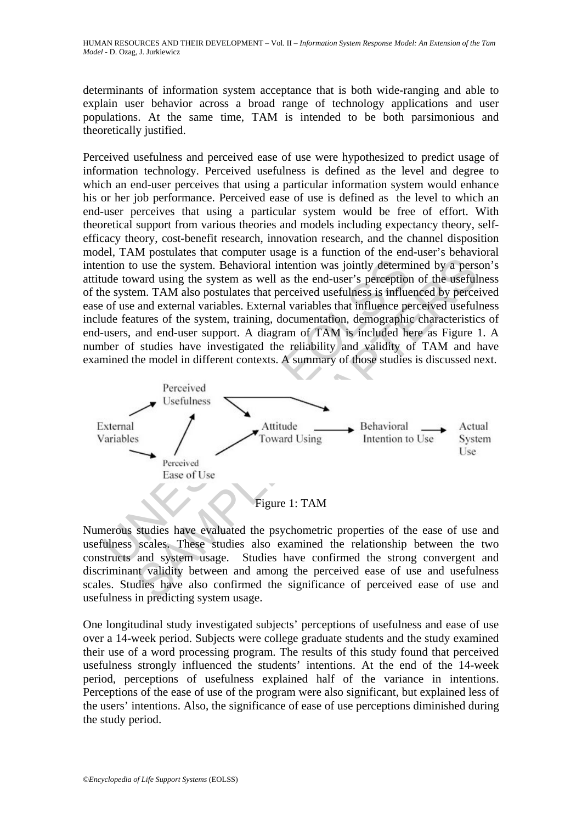determinants of information system acceptance that is both wide-ranging and able to explain user behavior across a broad range of technology applications and user populations. At the same time, TAM is intended to be both parsimonious and theoretically justified.

Perceived usefulness and perceived ease of use were hypothesized to predict usage of information technology. Perceived usefulness is defined as the level and degree to which an end-user perceives that using a particular information system would enhance his or her job performance. Perceived ease of use is defined as the level to which an end-user perceives that using a particular system would be free of effort. With theoretical support from various theories and models including expectancy theory, selfefficacy theory, cost-benefit research, innovation research, and the channel disposition model, TAM postulates that computer usage is a function of the end-user's behavioral intention to use the system. Behavioral intention was jointly determined by a person's attitude toward using the system as well as the end-user's perception of the usefulness of the system. TAM also postulates that perceived usefulness is influenced by perceived ease of use and external variables. External variables that influence perceived usefulness include features of the system, training, documentation, demographic characteristics of end-users, and end-user support. A diagram of TAM is included here as Figure 1. A number of studies have investigated the reliability and validity of TAM and have examined the model in different contexts. A summary of those studies is discussed next.



Numerous studies have evaluated the psychometric properties of the ease of use and usefulness scales. These studies also examined the relationship between the two constructs and system usage. Studies have confirmed the strong convergent and discriminant validity between and among the perceived ease of use and usefulness scales. Studies have also confirmed the significance of perceived ease of use and usefulness in predicting system usage.

One longitudinal study investigated subjects' perceptions of usefulness and ease of use over a 14-week period. Subjects were college graduate students and the study examined their use of a word processing program. The results of this study found that perceived usefulness strongly influenced the students' intentions. At the end of the 14-week period, perceptions of usefulness explained half of the variance in intentions. Perceptions of the ease of use of the program were also significant, but explained less of the users' intentions. Also, the significance of ease of use perceptions diminished during the study period.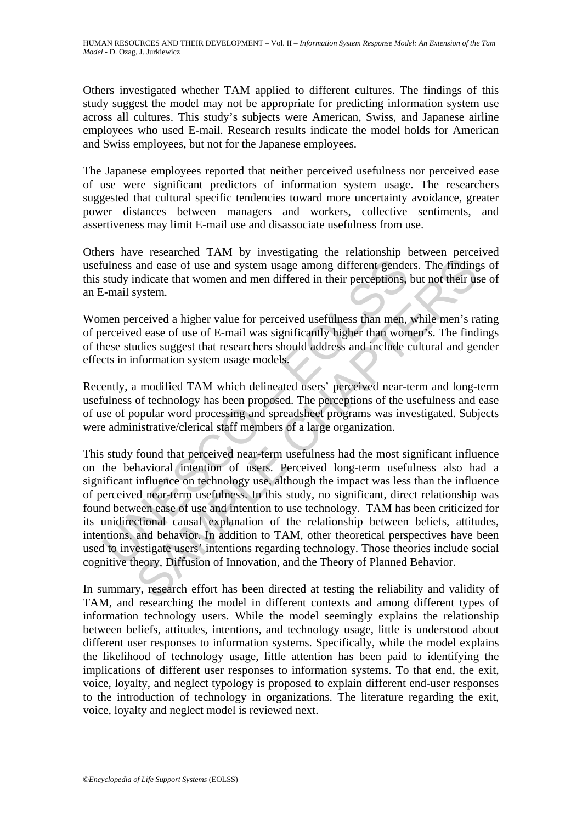Others investigated whether TAM applied to different cultures. The findings of this study suggest the model may not be appropriate for predicting information system use across all cultures. This study's subjects were American, Swiss, and Japanese airline employees who used E-mail. Research results indicate the model holds for American and Swiss employees, but not for the Japanese employees.

The Japanese employees reported that neither perceived usefulness nor perceived ease of use were significant predictors of information system usage. The researchers suggested that cultural specific tendencies toward more uncertainty avoidance, greater power distances between managers and workers, collective sentiments, and assertiveness may limit E-mail use and disassociate usefulness from use.

Others have researched TAM by investigating the relationship between perceived usefulness and ease of use and system usage among different genders. The findings of this study indicate that women and men differed in their perceptions, but not their use of an E-mail system.

Women perceived a higher value for perceived usefulness than men, while men's rating of perceived ease of use of E-mail was significantly higher than women's. The findings of these studies suggest that researchers should address and include cultural and gender effects in information system usage models.

Recently, a modified TAM which delineated users' perceived near-term and long-term usefulness of technology has been proposed. The perceptions of the usefulness and ease of use of popular word processing and spreadsheet programs was investigated. Subjects were administrative/clerical staff members of a large organization.

ulness and ease of use and system usage among different gende<br>study indicate that women and men differed in their perceptions,<br>i-mail system.<br>Then a higher value for perceived usefulness than men,<br>erceived ase of use of Eand ease of use and system usage among different genders. The finding<br>and ease of use and system usage among different genders. The finding<br>ndicate that women and men differed in their perceptions, but not their usystem.<br>r This study found that perceived near-term usefulness had the most significant influence on the behavioral intention of users. Perceived long-term usefulness also had a significant influence on technology use, although the impact was less than the influence of perceived near-term usefulness. In this study, no significant, direct relationship was found between ease of use and intention to use technology. TAM has been criticized for its unidirectional causal explanation of the relationship between beliefs, attitudes, intentions, and behavior. In addition to TAM, other theoretical perspectives have been used to investigate users' intentions regarding technology. Those theories include social cognitive theory, Diffusion of Innovation, and the Theory of Planned Behavior.

In summary, research effort has been directed at testing the reliability and validity of TAM, and researching the model in different contexts and among different types of information technology users. While the model seemingly explains the relationship between beliefs, attitudes, intentions, and technology usage, little is understood about different user responses to information systems. Specifically, while the model explains the likelihood of technology usage, little attention has been paid to identifying the implications of different user responses to information systems. To that end, the exit, voice, loyalty, and neglect typology is proposed to explain different end-user responses to the introduction of technology in organizations. The literature regarding the exit, voice, loyalty and neglect model is reviewed next.